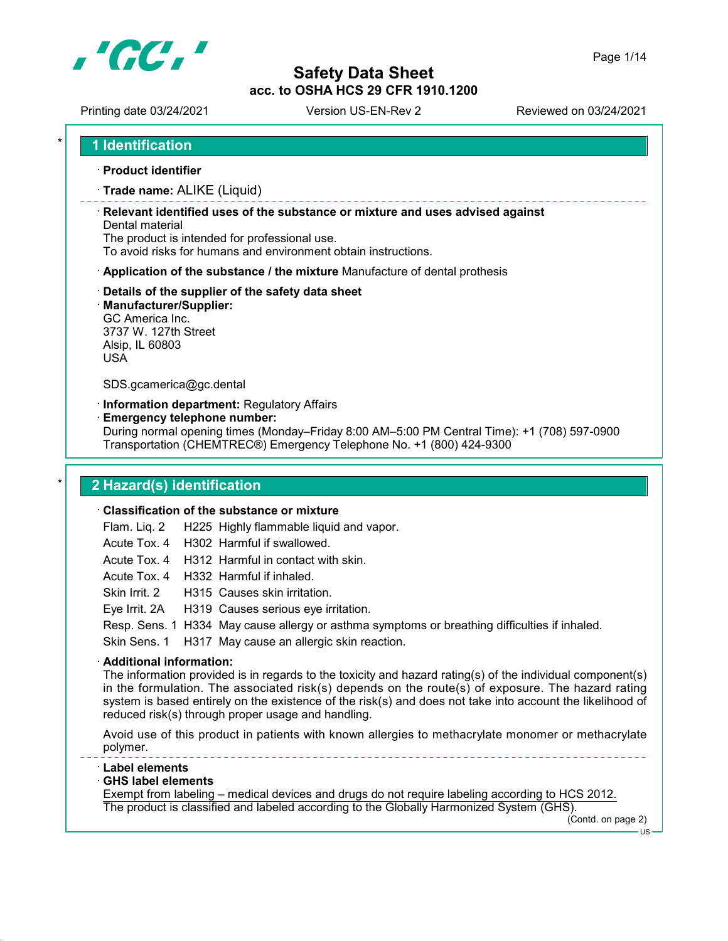

Printing date 03/24/2021 Version US-EN-Rev 2 Reviewed on 03/24/2021

· Product identifier

· Trade name: ALIKE (Liquid)

· Relevant identified uses of the substance or mixture and uses advised against Dental material

The product is intended for professional use.

To avoid risks for humans and environment obtain instructions.

- · Application of the substance / the mixture Manufacture of dental prothesis
- · Details of the supplier of the safety data sheet
- · Manufacturer/Supplier:

GC America Inc. 3737 W. 127th Street Alsip, IL 60803 USA

SDS.gcamerica@gc.dental

· Information department: Regulatory Affairs

· Emergency telephone number:

During normal opening times (Monday–Friday 8:00 AM–5:00 PM Central Time): +1 (708) 597-0900 Transportation (CHEMTREC®) Emergency Telephone No. +1 (800) 424-9300

## 2 Hazard(s) identification

### · Classification of the substance or mixture

Flam. Liq. 2 H225 Highly flammable liquid and vapor.

Acute Tox. 4 H302 Harmful if swallowed.

Acute Tox. 4 H312 Harmful in contact with skin.

Acute Tox. 4 H332 Harmful if inhaled.

Skin Irrit. 2 H315 Causes skin irritation.

Eye Irrit. 2A H319 Causes serious eye irritation.

Resp. Sens. 1 H334 May cause allergy or asthma symptoms or breathing difficulties if inhaled.

Skin Sens. 1 H317 May cause an allergic skin reaction.

### · Additional information:

The information provided is in regards to the toxicity and hazard rating(s) of the individual component(s) in the formulation. The associated risk(s) depends on the route(s) of exposure. The hazard rating system is based entirely on the existence of the risk(s) and does not take into account the likelihood of reduced risk(s) through proper usage and handling.

Avoid use of this product in patients with known allergies to methacrylate monomer or methacrylate polymer.

- · Label elements
- · GHS label elements

Exempt from labeling – medical devices and drugs do not require labeling according to HCS 2012. The product is classified and labeled according to the Globally Harmonized System (GHS).

(Contd. on page 2)  $\overline{1}$ 

Page 1/14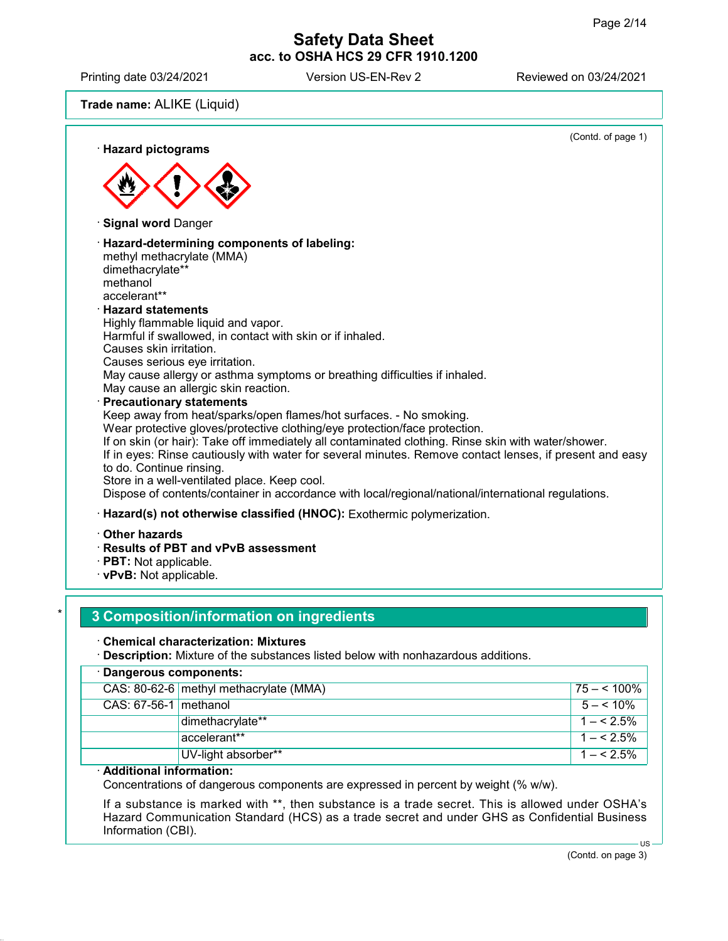Printing date 03/24/2021 Version US-EN-Rev 2 Reviewed on 03/24/2021

Trade name: ALIKE (Liquid)



## **3 Composition/information on ingredients**

### · Chemical characterization: Mixtures

· Description: Mixture of the substances listed below with nonhazardous additions.

| · Dangerous components:                |              |  |
|----------------------------------------|--------------|--|
| CAS: 80-62-6 methyl methacrylate (MMA) | $75 - 100\%$ |  |
| $CAS: 67-56-1$ methanol                | $5 - 5.10\%$ |  |
| dimethacrylate**                       | $1 - 5.5\%$  |  |
| accelerant**                           | $1 - 5.5\%$  |  |
| UV-light absorber**                    | $1 - 5.5\%$  |  |
|                                        |              |  |

### · Additional information:

Concentrations of dangerous components are expressed in percent by weight (% w/w).

If a substance is marked with \*\*, then substance is a trade secret. This is allowed under OSHA's Hazard Communication Standard (HCS) as a trade secret and under GHS as Confidential Business Information (CBI). US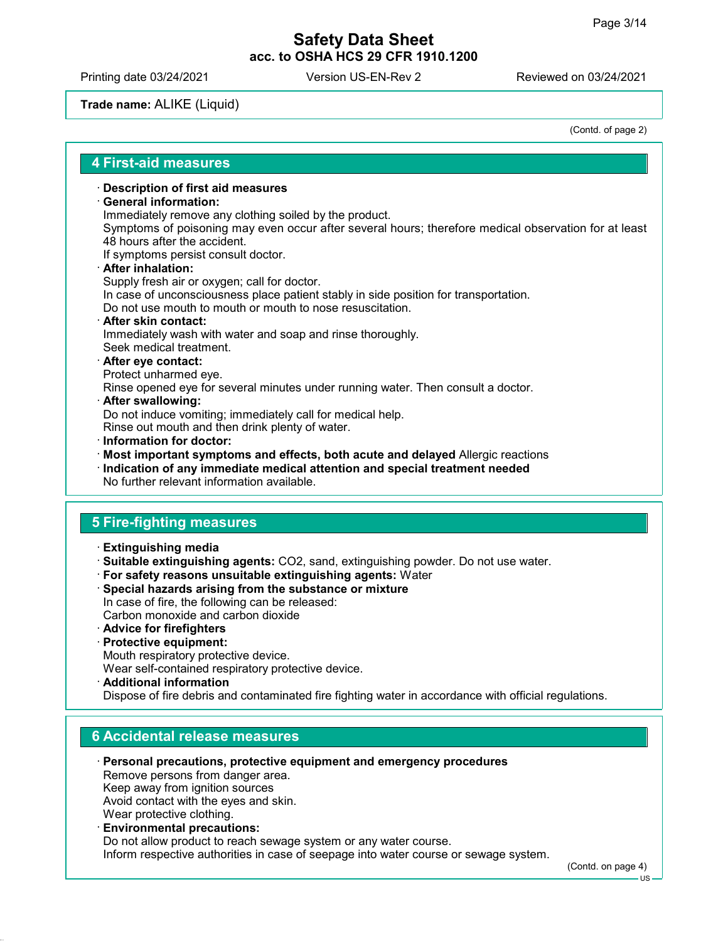Printing date 03/24/2021 Version US-EN-Rev 2 Reviewed on 03/24/2021

## Trade name: ALIKE (Liquid)

(Contd. of page 2)

### 4 First-aid measures

### · Description of first aid measures

### · General information:

Immediately remove any clothing soiled by the product.

Symptoms of poisoning may even occur after several hours; therefore medical observation for at least 48 hours after the accident.

If symptoms persist consult doctor.

## After inhalation:

Supply fresh air or oxygen; call for doctor. In case of unconsciousness place patient stably in side position for transportation. Do not use mouth to mouth or mouth to nose resuscitation.

- · After skin contact: Immediately wash with water and soap and rinse thoroughly. Seek medical treatment.
- · After eye contact: Protect unharmed eye.

Rinse opened eye for several minutes under running water. Then consult a doctor.

After swallowing:

Do not induce vomiting; immediately call for medical help.

Rinse out mouth and then drink plenty of water.

· Information for doctor:

· Most important symptoms and effects, both acute and delayed Allergic reactions

· Indication of any immediate medical attention and special treatment needed No further relevant information available.

# 5 Fire-fighting measures

- · Extinguishing media
- · Suitable extinguishing agents: CO2, sand, extinguishing powder. Do not use water.
- · For safety reasons unsuitable extinguishing agents: Water
- · Special hazards arising from the substance or mixture
- In case of fire, the following can be released: Carbon monoxide and carbon dioxide
- · Advice for firefighters
- · Protective equipment:
- Mouth respiratory protective device.

Wear self-contained respiratory protective device.

· Additional information

Dispose of fire debris and contaminated fire fighting water in accordance with official regulations.

### 6 Accidental release measures

- · Personal precautions, protective equipment and emergency procedures Remove persons from danger area. Keep away from ignition sources Avoid contact with the eyes and skin. Wear protective clothing.
- · Environmental precautions: Do not allow product to reach sewage system or any water course. Inform respective authorities in case of seepage into water course or sewage system.

(Contd. on page 4)

US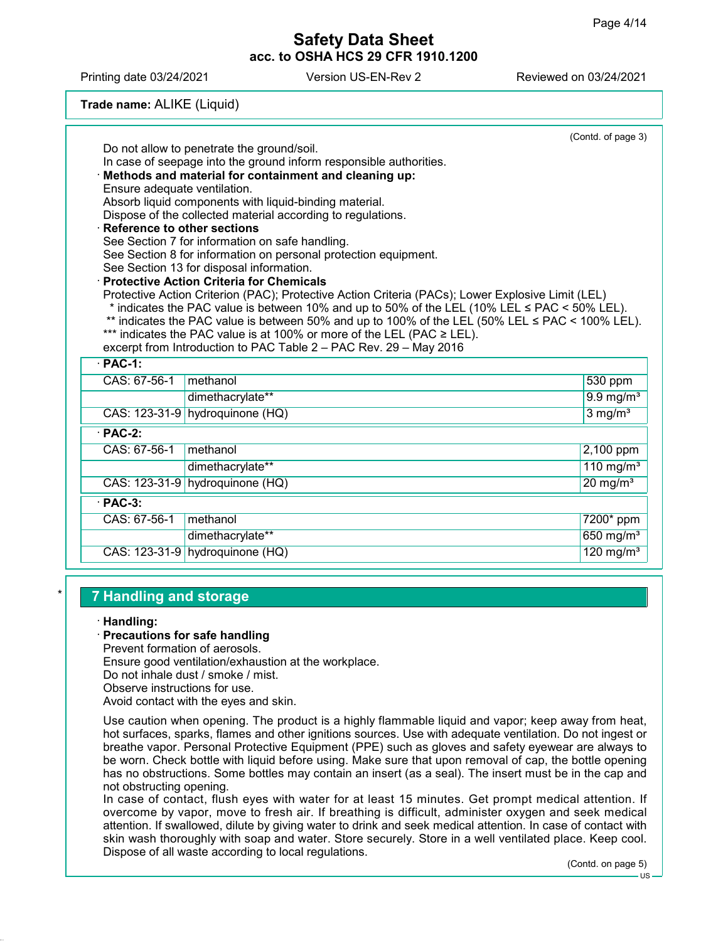Printing date 03/24/2021 Version US-EN-Rev 2 Reviewed on 03/24/2021

## Trade name: ALIKE (Liquid)

|                               |                                                                                                                                             | (Contd. of page 3)      |  |  |
|-------------------------------|---------------------------------------------------------------------------------------------------------------------------------------------|-------------------------|--|--|
|                               | Do not allow to penetrate the ground/soil.                                                                                                  |                         |  |  |
|                               | In case of seepage into the ground inform responsible authorities.                                                                          |                         |  |  |
|                               | · Methods and material for containment and cleaning up:<br>Ensure adequate ventilation.                                                     |                         |  |  |
|                               | Absorb liquid components with liquid-binding material.                                                                                      |                         |  |  |
|                               | Dispose of the collected material according to regulations.                                                                                 |                         |  |  |
| · Reference to other sections |                                                                                                                                             |                         |  |  |
|                               | See Section 7 for information on safe handling.                                                                                             |                         |  |  |
|                               | See Section 8 for information on personal protection equipment.                                                                             |                         |  |  |
|                               | See Section 13 for disposal information.                                                                                                    |                         |  |  |
|                               | · Protective Action Criteria for Chemicals                                                                                                  |                         |  |  |
|                               | Protective Action Criterion (PAC); Protective Action Criteria (PACs); Lower Explosive Limit (LEL)                                           |                         |  |  |
|                               | * indicates the PAC value is between 10% and up to 50% of the LEL (10% LEL $\leq$ PAC $\leq$ 50% LEL).                                      |                         |  |  |
|                               | ** indicates the PAC value is between 50% and up to 100% of the LEL (50% LEL $\leq$ PAC < 100% LEL).                                        |                         |  |  |
|                               | *** indicates the PAC value is at 100% or more of the LEL (PAC ≥ LEL).<br>excerpt from Introduction to PAC Table 2 - PAC Rev. 29 - May 2016 |                         |  |  |
|                               |                                                                                                                                             |                         |  |  |
| $\cdot$ PAC-1:                |                                                                                                                                             |                         |  |  |
| CAS: 67-56-1                  | methanol                                                                                                                                    | 530 ppm                 |  |  |
|                               | dimethacrylate**                                                                                                                            | $9.9 \text{ mg/m}^3$    |  |  |
|                               | CAS: 123-31-9 hydroquinone (HQ)                                                                                                             | $3$ mg/m <sup>3</sup>   |  |  |
| $\cdot$ PAC-2:                |                                                                                                                                             |                         |  |  |
| CAS: 67-56-1                  | methanol                                                                                                                                    | 2,100 ppm               |  |  |
|                               | dimethacrylate**                                                                                                                            | 110 mg/m $3$            |  |  |
|                               | CAS: 123-31-9 hydroquinone (HQ)                                                                                                             | $20$ mg/m <sup>3</sup>  |  |  |
| $·$ PAC-3:                    |                                                                                                                                             |                         |  |  |
| CAS: 67-56-1                  | methanol                                                                                                                                    | 7200* ppm               |  |  |
|                               | dimethacrylate**                                                                                                                            | 650 $mg/m3$             |  |  |
|                               | CAS: 123-31-9 hydroquinone (HQ)                                                                                                             | $120$ mg/m <sup>3</sup> |  |  |
|                               |                                                                                                                                             |                         |  |  |

## **7 Handling and storage**

### · Handling:

### · Precautions for safe handling

Prevent formation of aerosols.

Ensure good ventilation/exhaustion at the workplace.

Do not inhale dust / smoke / mist.

Observe instructions for use.

Avoid contact with the eyes and skin.

Use caution when opening. The product is a highly flammable liquid and vapor; keep away from heat, hot surfaces, sparks, flames and other ignitions sources. Use with adequate ventilation. Do not ingest or breathe vapor. Personal Protective Equipment (PPE) such as gloves and safety eyewear are always to be worn. Check bottle with liquid before using. Make sure that upon removal of cap, the bottle opening has no obstructions. Some bottles may contain an insert (as a seal). The insert must be in the cap and not obstructing opening.

In case of contact, flush eyes with water for at least 15 minutes. Get prompt medical attention. If overcome by vapor, move to fresh air. If breathing is difficult, administer oxygen and seek medical attention. If swallowed, dilute by giving water to drink and seek medical attention. In case of contact with skin wash thoroughly with soap and water. Store securely. Store in a well ventilated place. Keep cool. Dispose of all waste according to local regulations.

(Contd. on page 5)

US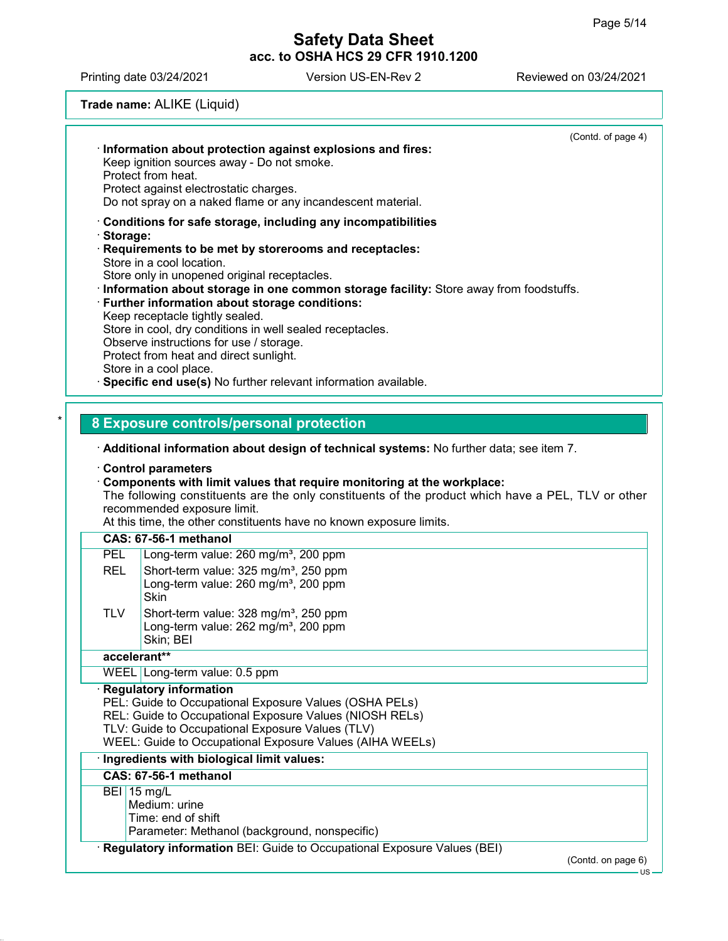Printing date 03/24/2021 Version US-EN-Rev 2 Reviewed on 03/24/2021

## Trade name: ALIKE (Liquid)

|   | (Contd. of page 4)<br>Information about protection against explosions and fires:<br>Keep ignition sources away - Do not smoke.<br>Protect from heat.<br>Protect against electrostatic charges.<br>Do not spray on a naked flame or any incandescent material.                                                                                                                                                                                                                                                                                                                                                                                                     |
|---|-------------------------------------------------------------------------------------------------------------------------------------------------------------------------------------------------------------------------------------------------------------------------------------------------------------------------------------------------------------------------------------------------------------------------------------------------------------------------------------------------------------------------------------------------------------------------------------------------------------------------------------------------------------------|
|   | $\cdot$ Conditions for safe storage, including any incompatibilities<br>· Storage:<br>$\cdot$ Requirements to be met by storerooms and receptacles:<br>Store in a cool location.<br>Store only in unopened original receptacles.<br>· Information about storage in one common storage facility: Store away from foodstuffs.<br>· Further information about storage conditions:<br>Keep receptacle tightly sealed.<br>Store in cool, dry conditions in well sealed receptacles.<br>Observe instructions for use / storage.<br>Protect from heat and direct sunlight.<br>Store in a cool place.<br>· Specific end use(s) No further relevant information available. |
| * | 8 Exposure controls/personal protection<br>$\cdot$ Additional information about design of technical systems: No further data; see item 7.                                                                                                                                                                                                                                                                                                                                                                                                                                                                                                                         |

#### · Control parameters

#### · Components with limit values that require monitoring at the workplace:

The following constituents are the only constituents of the product which have a PEL, TLV or other recommended exposure limit.

At this time, the other constituents have no known exposure limits.

| PEL        | Long-term value: 260 mg/m <sup>3</sup> , 200 ppm                                                                   |
|------------|--------------------------------------------------------------------------------------------------------------------|
| <b>REL</b> | Short-term value: 325 mg/m <sup>3</sup> , 250 ppm<br>Long-term value: 260 mg/m <sup>3</sup> , 200 ppm<br>Skin      |
| <b>TLV</b> | Short-term value: 328 mg/m <sup>3</sup> , 250 ppm<br>Long-term value: 262 mg/m <sup>3</sup> , 200 ppm<br>Skin; BEI |
|            | and a common delays                                                                                                |

### accelerant\*\*

WEEL Long-term value: 0.5 ppm

### · Regulatory information

PEL: Guide to Occupational Exposure Values (OSHA PELs) REL: Guide to Occupational Exposure Values (NIOSH RELS) TLV: Guide to Occupational Exposure Values (TLV) WEEL: Guide to Occupational Exposure Values (AIHA WEELs)

### · Ingredients with biological limit values:

### CAS: 67-56-1 methanol

BEI 15 mg/L

Medium: urine Time: end of shift

Parameter: Methanol (background, nonspecific)

· Regulatory information BEI: Guide to Occupational Exposure Values (BEI)

(Contd. on page 6)

US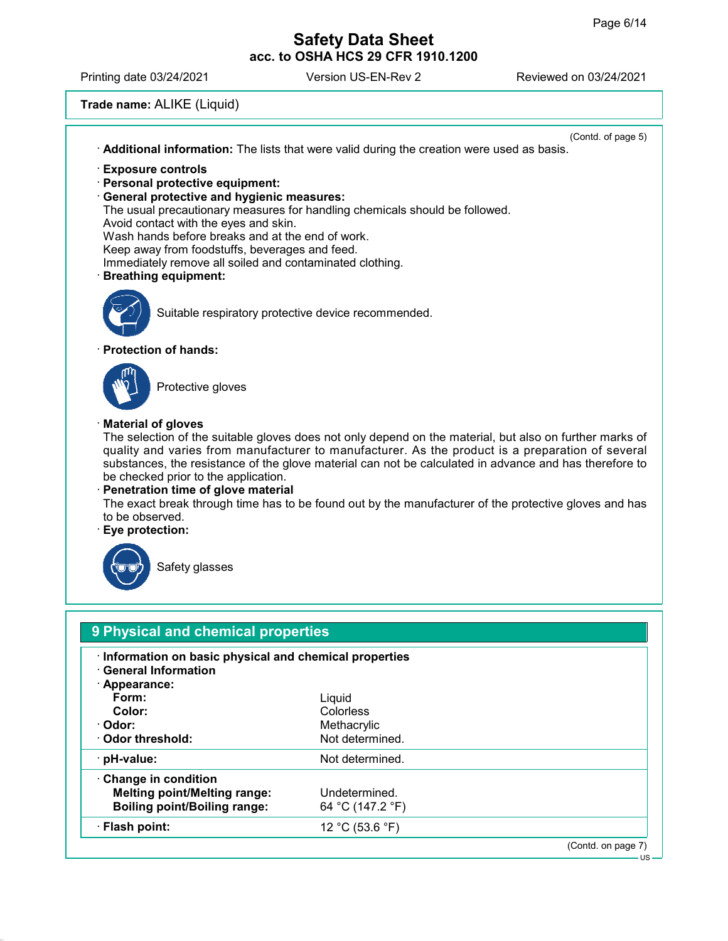US

# Safety Data Sheet acc. to OSHA HCS 29 CFR 1910.1200

Printing date 03/24/2021 Version US-EN-Rev 2 Reviewed on 03/24/2021

# Trade name: ALIKE (Liquid)

|                                                            | (Contd. of page 5)<br>Additional information: The lists that were valid during the creation were used as basis.                                                                                                                                                                                                                                                                                                                                                                                              |
|------------------------------------------------------------|--------------------------------------------------------------------------------------------------------------------------------------------------------------------------------------------------------------------------------------------------------------------------------------------------------------------------------------------------------------------------------------------------------------------------------------------------------------------------------------------------------------|
|                                                            | <b>Exposure controls</b><br>· Personal protective equipment:<br>· General protective and hygienic measures:<br>The usual precautionary measures for handling chemicals should be followed.<br>Avoid contact with the eyes and skin.<br>Wash hands before breaks and at the end of work.<br>Keep away from foodstuffs, beverages and feed.<br>Immediately remove all soiled and contaminated clothing.<br><b>Breathing equipment:</b>                                                                         |
|                                                            | Suitable respiratory protective device recommended.                                                                                                                                                                                                                                                                                                                                                                                                                                                          |
|                                                            | · Protection of hands:                                                                                                                                                                                                                                                                                                                                                                                                                                                                                       |
|                                                            | Protective gloves                                                                                                                                                                                                                                                                                                                                                                                                                                                                                            |
| · Material of gloves<br>to be observed.<br>Eye protection: | The selection of the suitable gloves does not only depend on the material, but also on further marks of<br>quality and varies from manufacturer to manufacturer. As the product is a preparation of several<br>substances, the resistance of the glove material can not be calculated in advance and has therefore to<br>be checked prior to the application.<br>Penetration time of glove material<br>The exact break through time has to be found out by the manufacturer of the protective gloves and has |
|                                                            | Safety glasses                                                                                                                                                                                                                                                                                                                                                                                                                                                                                               |
|                                                            | 9 Physical and chemical properties                                                                                                                                                                                                                                                                                                                                                                                                                                                                           |
|                                                            | Information on basic physical and chemical properties<br>· Gonoral Information                                                                                                                                                                                                                                                                                                                                                                                                                               |

· General Information

| Appearance:<br>Form:<br>Color:<br>· Odor:<br>Odor threshold:                                      | Liquid<br><b>Colorless</b><br>Methacrylic<br>Not determined. |                    |
|---------------------------------------------------------------------------------------------------|--------------------------------------------------------------|--------------------|
| $\cdot$ pH-value:                                                                                 | Not determined.                                              |                    |
| Change in condition<br><b>Melting point/Melting range:</b><br><b>Boiling point/Boiling range:</b> | Undetermined.<br>64 °C (147.2 °F)                            |                    |
| · Flash point:                                                                                    | 12 °C (53.6 °F)                                              |                    |
|                                                                                                   |                                                              | (Contd. on page 7) |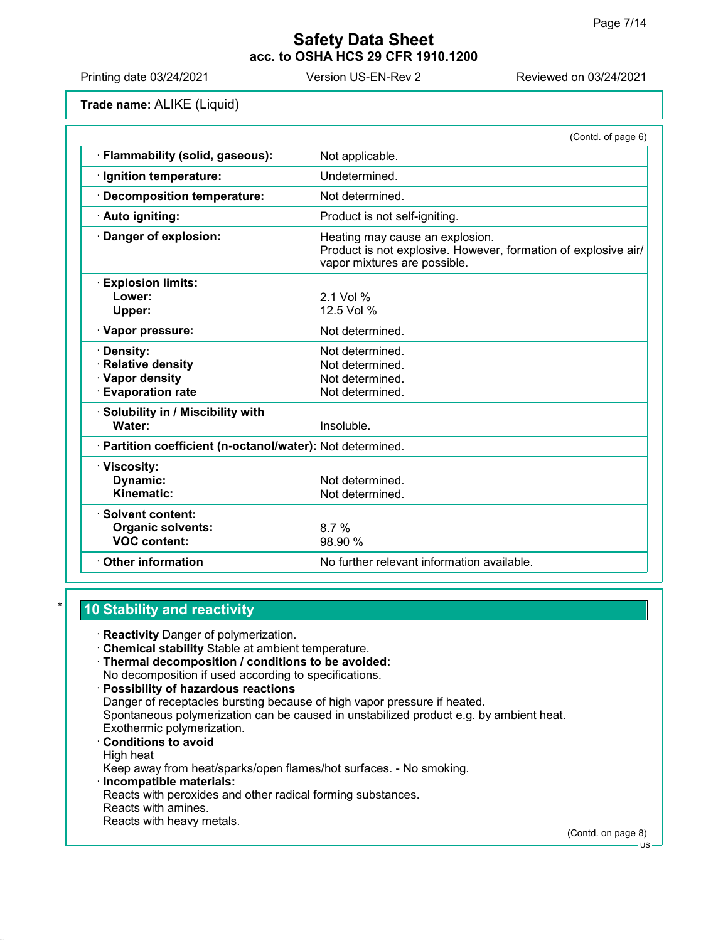Printing date 03/24/2021 Version US-EN-Rev 2 Reviewed on 03/24/2021

Trade name: ALIKE (Liquid)

|                                                            | (Contd. of page 6)                                                                                                                |
|------------------------------------------------------------|-----------------------------------------------------------------------------------------------------------------------------------|
| Flammability (solid, gaseous):                             | Not applicable.                                                                                                                   |
| · Ignition temperature:                                    | Undetermined.                                                                                                                     |
| Decomposition temperature:                                 | Not determined.                                                                                                                   |
| · Auto igniting:                                           | Product is not self-igniting.                                                                                                     |
| Danger of explosion:                                       | Heating may cause an explosion.<br>Product is not explosive. However, formation of explosive air/<br>vapor mixtures are possible. |
| <b>Explosion limits:</b>                                   |                                                                                                                                   |
| Lower:                                                     | $2.1$ Vol %                                                                                                                       |
| Upper:                                                     | 12.5 Vol %                                                                                                                        |
| · Vapor pressure:                                          | Not determined.                                                                                                                   |
| Density:                                                   | Not determined.                                                                                                                   |
| <b>Relative density</b>                                    | Not determined.                                                                                                                   |
| · Vapor density                                            | Not determined.                                                                                                                   |
| <b>Evaporation rate</b>                                    | Not determined.                                                                                                                   |
| · Solubility in / Miscibility with                         |                                                                                                                                   |
| Water:                                                     | Insoluble.                                                                                                                        |
| · Partition coefficient (n-octanol/water): Not determined. |                                                                                                                                   |
| · Viscosity:                                               |                                                                                                                                   |
| Dynamic:                                                   | Not determined.                                                                                                                   |
| Kinematic:                                                 | Not determined.                                                                                                                   |
| Solvent content:                                           |                                                                                                                                   |
| <b>Organic solvents:</b>                                   | 8.7%                                                                                                                              |
| <b>VOC content:</b>                                        | 98.90 %                                                                                                                           |
| <b>Other information</b>                                   | No further relevant information available.                                                                                        |
|                                                            |                                                                                                                                   |

# 10 Stability and reactivity

· Reactivity Danger of polymerization.

- · Chemical stability Stable at ambient temperature.
- · Thermal decomposition / conditions to be avoided: No decomposition if used according to specifications.
- · Possibility of hazardous reactions Danger of receptacles bursting because of high vapor pressure if heated. Spontaneous polymerization can be caused in unstabilized product e.g. by ambient heat. Exothermic polymerization. · Conditions to avoid High heat Keep away from heat/sparks/open flames/hot surfaces. - No smoking. · Incompatible materials: Reacts with peroxides and other radical forming substances. Reacts with amines.
- Reacts with heavy metals.

(Contd. on page 8)

US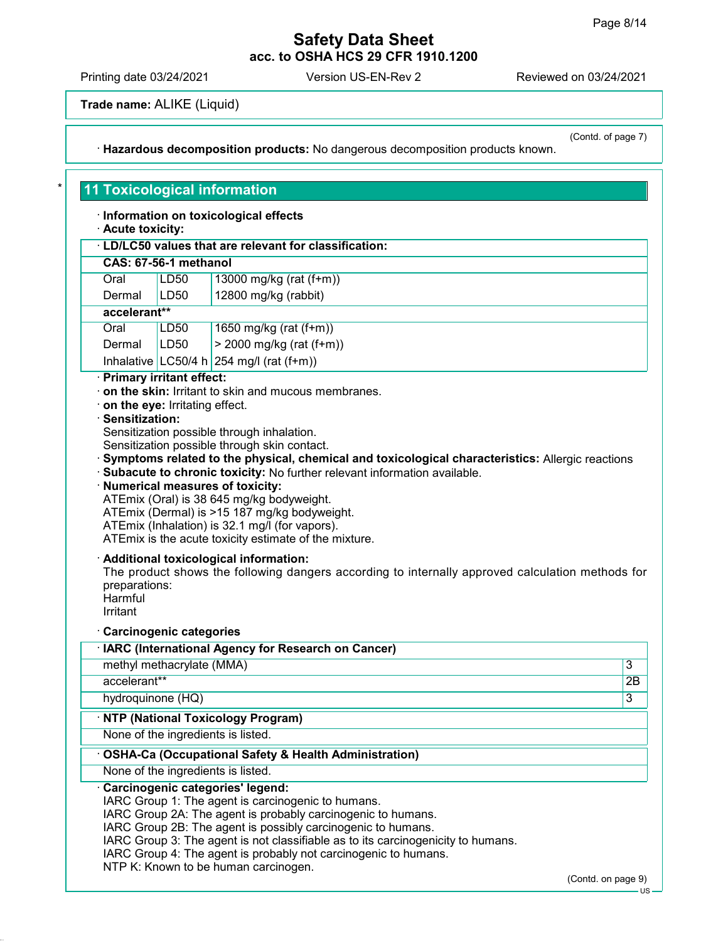Printing date 03/24/2021 Version US-EN-Rev 2 Reviewed on 03/24/2021

· Acute toxicity:

Trade name: ALIKE (Liquid)

11 Toxicological information

· Information on toxicological effects

· Hazardous decomposition products: No dangerous decomposition products known.

(Contd. of page 7)

## · LD/LC50 values that are relevant for classification: CAS: 67-56-1 methanol Oral LD50 13000 mg/kg (rat (f+m)) Dermal LD50 12800 mg/kg (rabbit) accelerant\*\* Oral LD50 1650 mg/kg (rat (f+m)) Dermal  $|LD50| > 2000$  mg/kg (rat (f+m)) Inhalative  $LC50/4$  h  $254$  mg/l (rat (f+m)) · Primary irritant effect: · on the skin: Irritant to skin and mucous membranes. · on the eye: Irritating effect. · Sensitization: Sensitization possible through inhalation. Sensitization possible through skin contact. · Symptoms related to the physical, chemical and toxicological characteristics: Allergic reactions · Subacute to chronic toxicity: No further relevant information available. · Numerical measures of toxicity: ATEmix (Oral) is 38 645 mg/kg bodyweight. ATEmix (Dermal) is >15 187 mg/kg bodyweight. ATEmix (Inhalation) is 32.1 mg/l (for vapors). ATEmix is the acute toxicity estimate of the mixture. · Additional toxicological information: The product shows the following dangers according to internally approved calculation methods for preparations: **Harmful** Irritant · Carcinogenic categories

| · IARC (International Agency for Research on Cancer)                                                                                                                                                                                                                                                                                                                                                                  |                    |
|-----------------------------------------------------------------------------------------------------------------------------------------------------------------------------------------------------------------------------------------------------------------------------------------------------------------------------------------------------------------------------------------------------------------------|--------------------|
| methyl methacrylate (MMA)                                                                                                                                                                                                                                                                                                                                                                                             | 3                  |
| accelerant**                                                                                                                                                                                                                                                                                                                                                                                                          | 2B                 |
| hydroquinone (HQ)                                                                                                                                                                                                                                                                                                                                                                                                     | 3                  |
| · NTP (National Toxicology Program)                                                                                                                                                                                                                                                                                                                                                                                   |                    |
| None of the ingredients is listed.                                                                                                                                                                                                                                                                                                                                                                                    |                    |
| OSHA-Ca (Occupational Safety & Health Administration)                                                                                                                                                                                                                                                                                                                                                                 |                    |
| None of the ingredients is listed.                                                                                                                                                                                                                                                                                                                                                                                    |                    |
| Carcinogenic categories' legend:<br>IARC Group 1: The agent is carcinogenic to humans.<br>IARC Group 2A: The agent is probably carcinogenic to humans.<br>IARC Group 2B: The agent is possibly carcinogenic to humans.<br>IARC Group 3: The agent is not classifiable as to its carcinogenicity to humans.<br>IARC Group 4: The agent is probably not carcinogenic to humans.<br>NTP K: Known to be human carcinogen. |                    |
|                                                                                                                                                                                                                                                                                                                                                                                                                       | (Contd. on page 9) |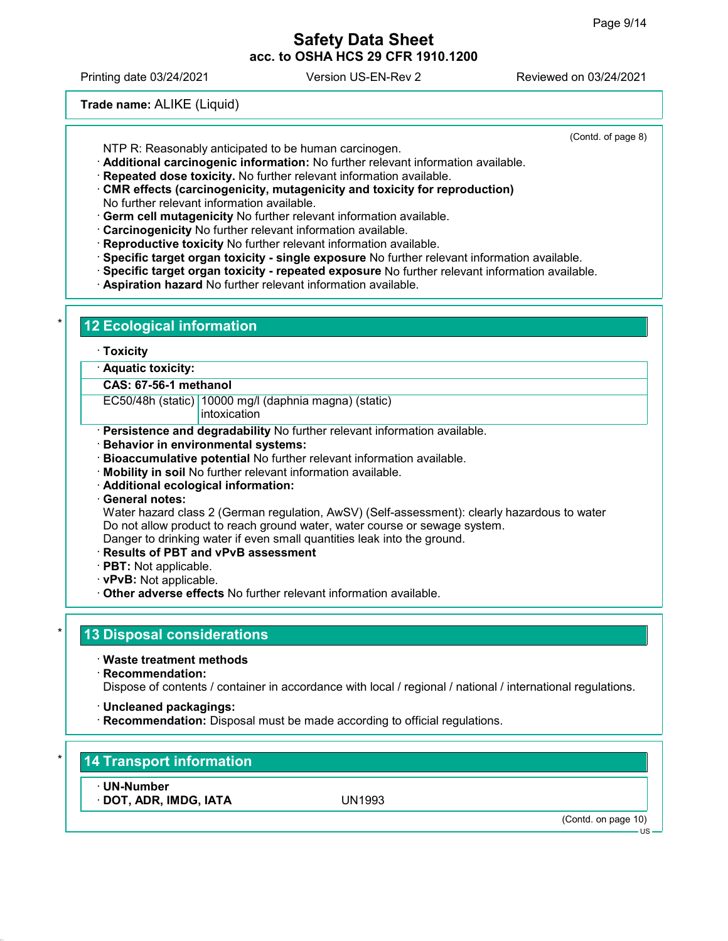(Contd. of page 8)

# Safety Data Sheet acc. to OSHA HCS 29 CFR 1910.1200

Printing date 03/24/2021 Version US-EN-Rev 2 Reviewed on 03/24/2021

Trade name: ALIKE (Liquid)

12 Ecological information

NTP R: Reasonably anticipated to be human carcinogen.

· Additional carcinogenic information: No further relevant information available.

· Repeated dose toxicity. No further relevant information available.

- · CMR effects (carcinogenicity, mutagenicity and toxicity for reproduction) No further relevant information available.
- · Germ cell mutagenicity No further relevant information available.
- · Carcinogenicity No further relevant information available.
- · Reproductive toxicity No further relevant information available.
- · Specific target organ toxicity single exposure No further relevant information available.
- · Specific target organ toxicity repeated exposure No further relevant information available.
- · Aspiration hazard No further relevant information available.

|                                                   | · Aquatic toxicity:                                                                                         |
|---------------------------------------------------|-------------------------------------------------------------------------------------------------------------|
| CAS: 67-56-1 methanol                             |                                                                                                             |
|                                                   | EC50/48h (static) 10000 mg/l (daphnia magna) (static)<br>intoxication                                       |
|                                                   | · Persistence and degradability No further relevant information available.                                  |
|                                                   | <b>Behavior in environmental systems:</b>                                                                   |
|                                                   | · Bioaccumulative potential No further relevant information available.                                      |
|                                                   | · Mobility in soil No further relevant information available.<br>· Additional ecological information:       |
| · General notes:                                  |                                                                                                             |
|                                                   | Water hazard class 2 (German regulation, AwSV) (Self-assessment): clearly hazardous to water                |
|                                                   | Do not allow product to reach ground water, water course or sewage system.                                  |
|                                                   | Danger to drinking water if even small quantities leak into the ground.                                     |
|                                                   | · Results of PBT and vPvB assessment                                                                        |
| · PBT: Not applicable.<br>· vPvB: Not applicable. |                                                                                                             |
|                                                   | Other adverse effects No further relevant information available.                                            |
|                                                   |                                                                                                             |
|                                                   |                                                                                                             |
| $\cdot$ Waste treatment methods                   | <b>13 Disposal considerations</b>                                                                           |
| $\cdot$ Recommendation:                           |                                                                                                             |
|                                                   | Dispose of contents / container in accordance with local / regional / national / international regulations. |
|                                                   |                                                                                                             |
| · Uncleaned packagings:                           | Recommendation: Disposal must be made according to official regulations.                                    |

· UN-Number

· DOT, ADR, IMDG, IATA UN1993

(Contd. on page 10)

US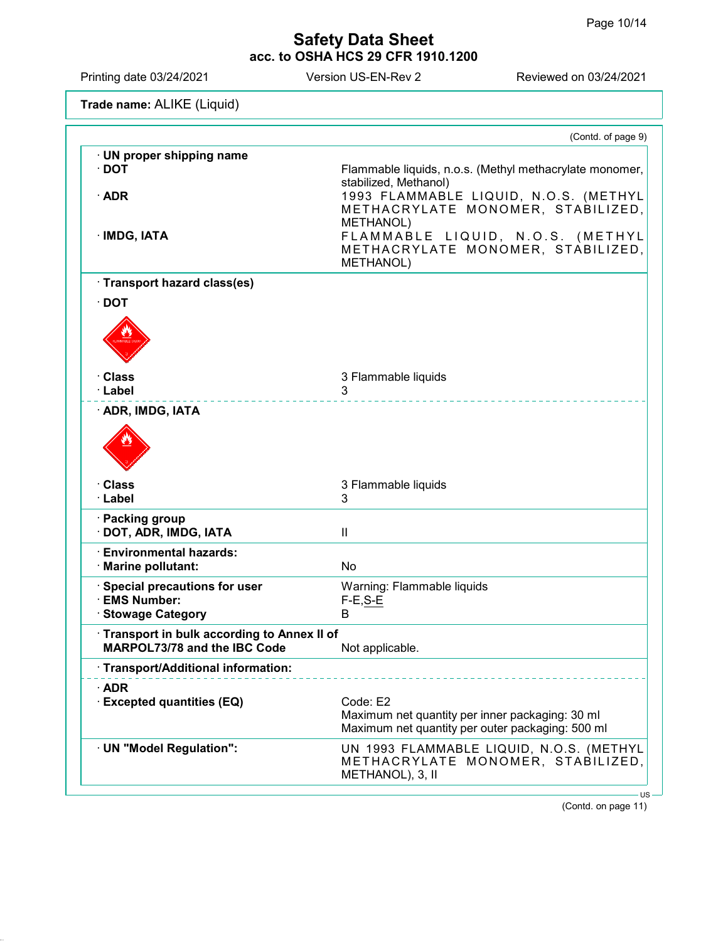| Printing date 03/24/2021                                                                                                             | Version US-EN-Rev 2        | Reviewed on 03/24/2021                                                        |  |
|--------------------------------------------------------------------------------------------------------------------------------------|----------------------------|-------------------------------------------------------------------------------|--|
| Trade name: ALIKE (Liquid)                                                                                                           |                            |                                                                               |  |
|                                                                                                                                      |                            | (Contd. of page 9)                                                            |  |
| · UN proper shipping name<br>$\cdot$ DOT                                                                                             | stabilized, Methanol)      | Flammable liquids, n.o.s. (Methyl methacrylate monomer,                       |  |
| $\cdot$ ADR                                                                                                                          | METHANOL)                  | 1993 FLAMMABLE LIQUID, N.O.S. (METHYL<br>METHACRYLATE MONOMER, STABILIZED,    |  |
| · IMDG, IATA                                                                                                                         | METHANOL)                  | FLAMMABLE LIQUID, N.O.S. (METHYL<br>METHACRYLATE MONOMER, STABILIZED,         |  |
| · Transport hazard class(es)                                                                                                         |                            |                                                                               |  |
| $\cdot$ DOT                                                                                                                          |                            |                                                                               |  |
|                                                                                                                                      |                            |                                                                               |  |
| · Class                                                                                                                              | 3 Flammable liquids        |                                                                               |  |
| · Label<br>· ADR, IMDG, IATA                                                                                                         | 3                          |                                                                               |  |
|                                                                                                                                      |                            |                                                                               |  |
| · Class<br>· Label                                                                                                                   | 3 Flammable liquids<br>3   |                                                                               |  |
| · Packing group<br>DOT, ADR, IMDG, IATA                                                                                              | Ш                          |                                                                               |  |
| <b>Environmental hazards:</b><br>· Marine pollutant:                                                                                 | No                         |                                                                               |  |
| Special precautions for user                                                                                                         | Warning: Flammable liquids |                                                                               |  |
| <b>EMS Number:</b><br><b>Stowage Category</b>                                                                                        | $F-E, S-E$<br>B            |                                                                               |  |
| Transport in bulk according to Annex II of<br>MARPOL73/78 and the IBC Code<br>Not applicable.<br>· Transport/Additional information: |                            |                                                                               |  |
|                                                                                                                                      |                            |                                                                               |  |
| $\cdot$ ADR<br><b>Excepted quantities (EQ)</b>                                                                                       | Code: E2                   | Maximum net quantity per inner packaging: 30 ml                               |  |
|                                                                                                                                      |                            | Maximum net quantity per outer packaging: 500 ml                              |  |
| · UN "Model Regulation":                                                                                                             | METHANOL), 3, II           | UN 1993 FLAMMABLE LIQUID, N.O.S. (METHYL<br>METHACRYLATE MONOMER, STABILIZED, |  |
|                                                                                                                                      |                            | $US -$                                                                        |  |

(Contd. on page 11)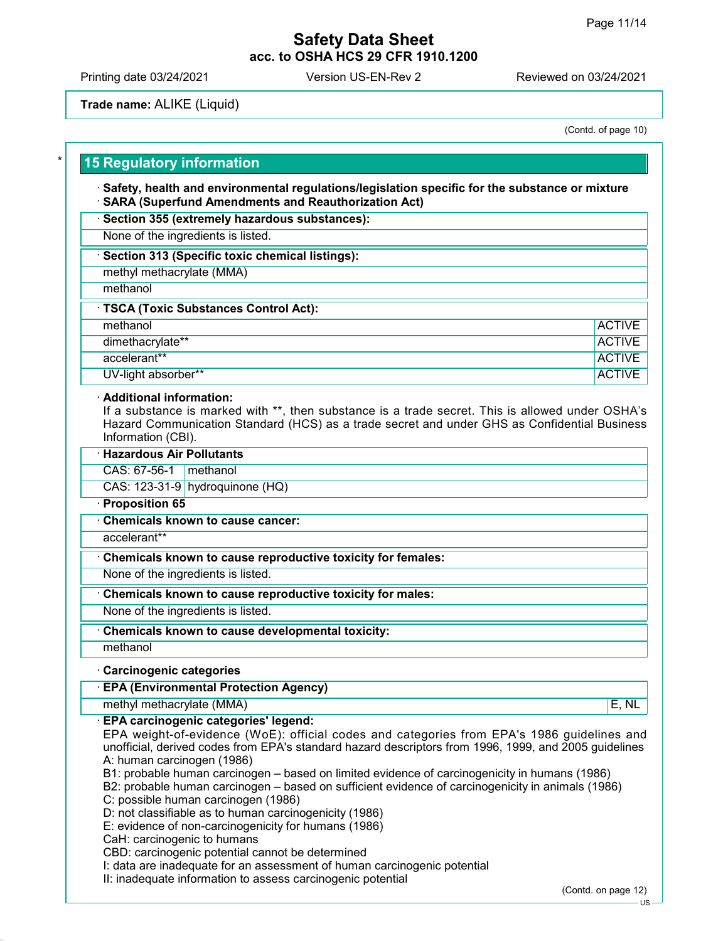Printing date 03/24/2021 Version US-EN-Rev 2 Reviewed on 03/24/2021

Trade name: ALIKE (Liquid)

(Contd. of page 10)

## **15 Regulatory information**

· Safety, health and environmental regulations/legislation specific for the substance or mixture · SARA (Superfund Amendments and Reauthorization Act)

#### · Section 355 (extremely hazardous substances):

None of the ingredients is listed.

#### · Section 313 (Specific toxic chemical listings):

methyl methacrylate (MMA)

methanol

| <b>TSCA (Toxic Substances Control Act):</b> |                  |               |  |
|---------------------------------------------|------------------|---------------|--|
|                                             | methanol         | <b>ACTIVE</b> |  |
|                                             | dimethacrylate** | <b>ACTIVE</b> |  |
|                                             |                  |               |  |

accelerant\*\* ACTIVE ACTIVE ACTIVE ACTIVE ACTIVE ACTIVE ACTIVE ACTIVE ACTIVE ACTIVE

UV-light absorber\*\* ACTIVE ACTIVE ACTIVE ACTIVE ACTIVE ACTIVE ACTIVE ACTIVE ACTIVE

#### · Additional information:

If a substance is marked with \*\*, then substance is a trade secret. This is allowed under OSHA's Hazard Communication Standard (HCS) as a trade secret and under GHS as Confidential Business Information (CBI).

# · Hazardous Air Pollutants

CAS: 67-56-1 methanol

CAS: 123-31-9 hydroquinone (HQ)

## · Proposition 65

· Chemicals known to cause cancer:

accelerant\*\*

### Chemicals known to cause reproductive toxicity for females:

None of the ingredients is listed.

· Chemicals known to cause reproductive toxicity for males:

None of the ingredients is listed.

### Chemicals known to cause developmental toxicity:

methanol

### · Carcinogenic categories

· EPA (Environmental Protection Agency)

methyl methacrylate (MMA) E, NL

### · EPA carcinogenic categories' legend:

EPA weight-of-evidence (WoE): official codes and categories from EPA's 1986 guidelines and unofficial, derived codes from EPA's standard hazard descriptors from 1996, 1999, and 2005 guidelines A: human carcinogen (1986)

B1: probable human carcinogen – based on limited evidence of carcinogenicity in humans (1986)

B2: probable human carcinogen – based on sufficient evidence of carcinogenicity in animals (1986)

C: possible human carcinogen (1986)

D: not classifiable as to human carcinogenicity (1986)

E: evidence of non-carcinogenicity for humans (1986)

CaH: carcinogenic to humans

CBD: carcinogenic potential cannot be determined

I: data are inadequate for an assessment of human carcinogenic potential

II: inadequate information to assess carcinogenic potential

(Contd. on page 12)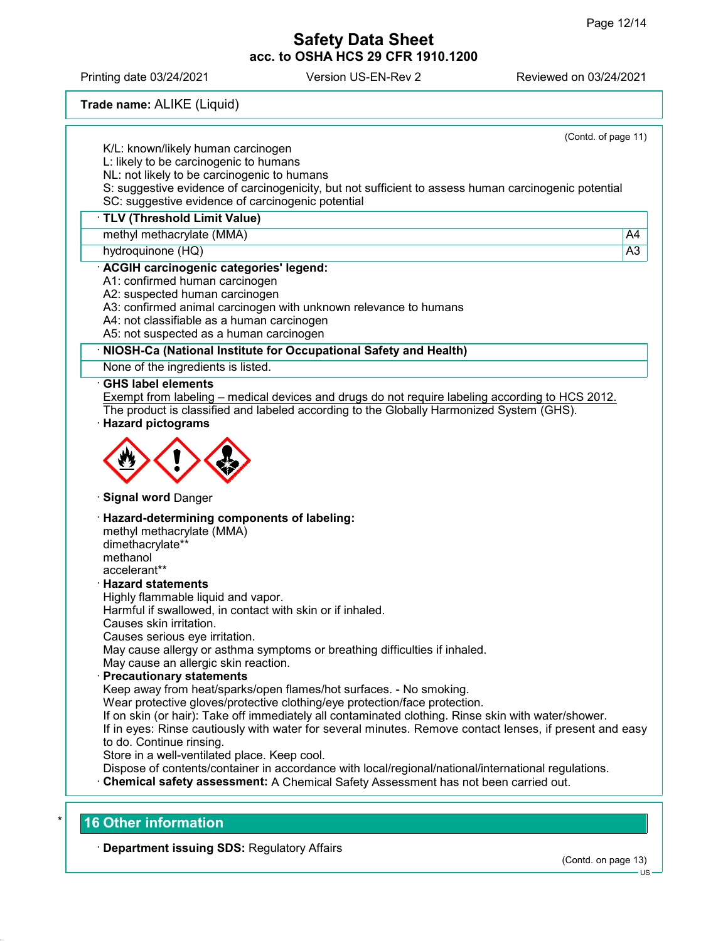Printing date 03/24/2021 Version US-EN-Rev 2 Reviewed on 03/24/2021

Trade name: ALIKE (Liquid)

|                                 | (Contd. of page 11)                                                                                                                                                                       |                 |
|---------------------------------|-------------------------------------------------------------------------------------------------------------------------------------------------------------------------------------------|-----------------|
|                                 | K/L: known/likely human carcinogen                                                                                                                                                        |                 |
|                                 | L: likely to be carcinogenic to humans                                                                                                                                                    |                 |
|                                 | NL: not likely to be carcinogenic to humans                                                                                                                                               |                 |
|                                 | S: suggestive evidence of carcinogenicity, but not sufficient to assess human carcinogenic potential                                                                                      |                 |
|                                 | SC: suggestive evidence of carcinogenic potential                                                                                                                                         |                 |
| TLV (Threshold Limit Value)     |                                                                                                                                                                                           |                 |
| methyl methacrylate (MMA)       |                                                                                                                                                                                           | A4              |
| hydroquinone (HQ)               |                                                                                                                                                                                           | $\overline{A3}$ |
|                                 | · ACGIH carcinogenic categories' legend:                                                                                                                                                  |                 |
|                                 | A1: confirmed human carcinogen                                                                                                                                                            |                 |
|                                 | A2: suspected human carcinogen                                                                                                                                                            |                 |
|                                 | A3: confirmed animal carcinogen with unknown relevance to humans                                                                                                                          |                 |
|                                 | A4: not classifiable as a human carcinogen                                                                                                                                                |                 |
|                                 | A5: not suspected as a human carcinogen                                                                                                                                                   |                 |
|                                 | NIOSH-Ca (National Institute for Occupational Safety and Health)                                                                                                                          |                 |
|                                 | None of the ingredients is listed.                                                                                                                                                        |                 |
| ⋅ GHS label elements            |                                                                                                                                                                                           |                 |
|                                 | Exempt from labeling – medical devices and drugs do not require labeling according to HCS 2012.                                                                                           |                 |
|                                 | The product is classified and labeled according to the Globally Harmonized System (GHS).                                                                                                  |                 |
| <b>Hazard pictograms</b>        |                                                                                                                                                                                           |                 |
|                                 |                                                                                                                                                                                           |                 |
| · Signal word Danger            |                                                                                                                                                                                           |                 |
|                                 | · Hazard-determining components of labeling:                                                                                                                                              |                 |
| methyl methacrylate (MMA)       |                                                                                                                                                                                           |                 |
| dimethacrylate**                |                                                                                                                                                                                           |                 |
| methanol                        |                                                                                                                                                                                           |                 |
| accelerant**                    |                                                                                                                                                                                           |                 |
| · Hazard statements             |                                                                                                                                                                                           |                 |
|                                 | Highly flammable liquid and vapor.                                                                                                                                                        |                 |
|                                 | Harmful if swallowed, in contact with skin or if inhaled.                                                                                                                                 |                 |
| Causes skin irritation.         |                                                                                                                                                                                           |                 |
| Causes serious eye irritation.  |                                                                                                                                                                                           |                 |
|                                 | May cause allergy or asthma symptoms or breathing difficulties if inhaled.                                                                                                                |                 |
|                                 | May cause an allergic skin reaction.                                                                                                                                                      |                 |
| <b>Precautionary statements</b> |                                                                                                                                                                                           |                 |
|                                 | Keep away from heat/sparks/open flames/hot surfaces. - No smoking.                                                                                                                        |                 |
|                                 | Wear protective gloves/protective clothing/eye protection/face protection.                                                                                                                |                 |
|                                 | If on skin (or hair): Take off immediately all contaminated clothing. Rinse skin with water/shower.                                                                                       |                 |
|                                 | If in eyes: Rinse cautiously with water for several minutes. Remove contact lenses, if present and easy                                                                                   |                 |
| to do. Continue rinsing.        |                                                                                                                                                                                           |                 |
|                                 | Store in a well-ventilated place. Keep cool.                                                                                                                                              |                 |
|                                 | Dispose of contents/container in accordance with local/regional/national/international regulations.<br>Chemical safety assessment: A Chemical Safety Assessment has not been carried out. |                 |

# · Department issuing SDS: Regulatory Affairs

(Contd. on page 13)

US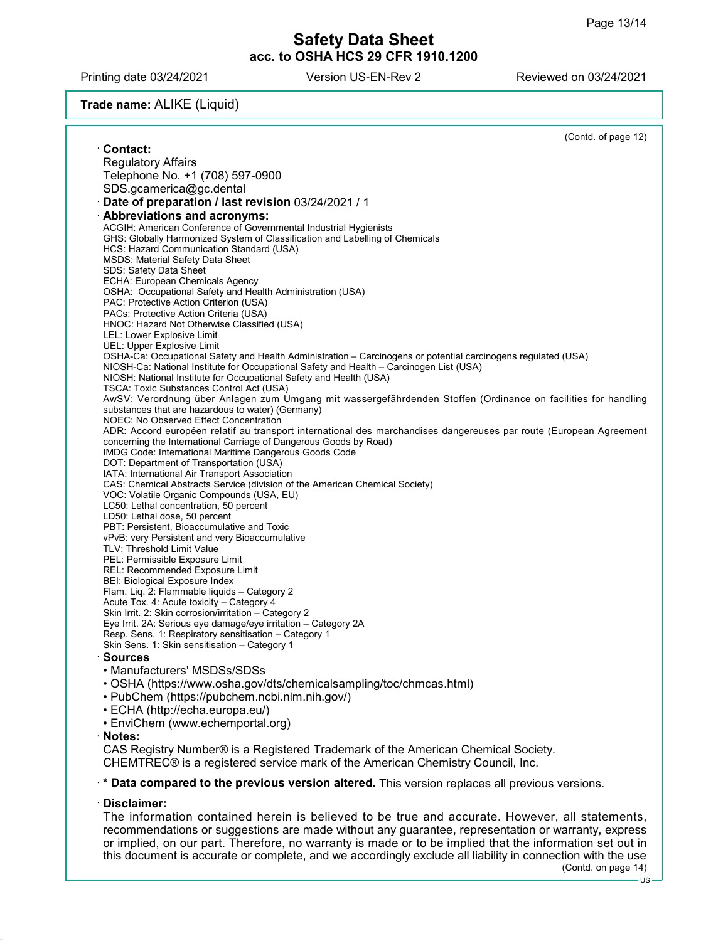Printing date 03/24/2021 Version US-EN-Rev 2 Reviewed on 03/24/2021

## Trade name: ALIKE (Liquid)

|                                                                                                                                                                    | (Contd. of page 12) |
|--------------------------------------------------------------------------------------------------------------------------------------------------------------------|---------------------|
| <b>Contact:</b>                                                                                                                                                    |                     |
| <b>Regulatory Affairs</b>                                                                                                                                          |                     |
| Telephone No. +1 (708) 597-0900                                                                                                                                    |                     |
| SDS.gcamerica@gc.dental                                                                                                                                            |                     |
| Date of preparation / last revision 03/24/2021 / 1                                                                                                                 |                     |
| <b>Abbreviations and acronyms:</b>                                                                                                                                 |                     |
| ACGIH: American Conference of Governmental Industrial Hygienists                                                                                                   |                     |
| GHS: Globally Harmonized System of Classification and Labelling of Chemicals                                                                                       |                     |
| HCS: Hazard Communication Standard (USA)                                                                                                                           |                     |
| <b>MSDS: Material Safety Data Sheet</b><br><b>SDS: Safety Data Sheet</b>                                                                                           |                     |
| ECHA: European Chemicals Agency                                                                                                                                    |                     |
| OSHA: Occupational Safety and Health Administration (USA)                                                                                                          |                     |
| PAC: Protective Action Criterion (USA)                                                                                                                             |                     |
| PACs: Protective Action Criteria (USA)                                                                                                                             |                     |
| HNOC: Hazard Not Otherwise Classified (USA)                                                                                                                        |                     |
| LEL: Lower Explosive Limit<br>UEL: Upper Explosive Limit                                                                                                           |                     |
| OSHA-Ca: Occupational Safety and Health Administration – Carcinogens or potential carcinogens regulated (USA)                                                      |                     |
| NIOSH-Ca: National Institute for Occupational Safety and Health – Carcinogen List (USA)                                                                            |                     |
| NIOSH: National Institute for Occupational Safety and Health (USA)                                                                                                 |                     |
| TSCA: Toxic Substances Control Act (USA)                                                                                                                           |                     |
| AwSV: Verordnung über Anlagen zum Umgang mit wassergefährdenden Stoffen (Ordinance on facilities for handling<br>substances that are hazardous to water) (Germany) |                     |
| NOEC: No Observed Effect Concentration                                                                                                                             |                     |
| ADR: Accord européen relatif au transport international des marchandises dangereuses par route (European Agreement                                                 |                     |
| concerning the International Carriage of Dangerous Goods by Road)                                                                                                  |                     |
| IMDG Code: International Maritime Dangerous Goods Code                                                                                                             |                     |
| DOT: Department of Transportation (USA)<br>IATA: International Air Transport Association                                                                           |                     |
| CAS: Chemical Abstracts Service (division of the American Chemical Society)                                                                                        |                     |
| VOC: Volatile Organic Compounds (USA, EU)                                                                                                                          |                     |
| LC50: Lethal concentration, 50 percent                                                                                                                             |                     |
| LD50: Lethal dose, 50 percent                                                                                                                                      |                     |
| PBT: Persistent, Bioaccumulative and Toxic<br>vPvB: very Persistent and very Bioaccumulative                                                                       |                     |
| TLV: Threshold Limit Value                                                                                                                                         |                     |
| PEL: Permissible Exposure Limit                                                                                                                                    |                     |
| REL: Recommended Exposure Limit                                                                                                                                    |                     |
| BEI: Biological Exposure Index                                                                                                                                     |                     |
| Flam. Lig. 2: Flammable liquids - Category 2<br>Acute Tox. 4: Acute toxicity - Category 4                                                                          |                     |
| Skin Irrit. 2: Skin corrosion/irritation - Category 2                                                                                                              |                     |
| Eye Irrit. 2A: Serious eye damage/eye irritation - Category 2A                                                                                                     |                     |
| Resp. Sens. 1: Respiratory sensitisation - Category 1                                                                                                              |                     |
| Skin Sens. 1: Skin sensitisation - Category 1                                                                                                                      |                     |
| <b>Sources</b>                                                                                                                                                     |                     |
| • Manufacturers' MSDSs/SDSs                                                                                                                                        |                     |
| • OSHA (https://www.osha.gov/dts/chemicalsampling/toc/chmcas.html)                                                                                                 |                     |
| • PubChem (https://pubchem.ncbi.nlm.nih.gov/)                                                                                                                      |                     |
| • ECHA (http://echa.europa.eu/)                                                                                                                                    |                     |
| • EnviChem (www.echemportal.org)                                                                                                                                   |                     |
| · Notes:                                                                                                                                                           |                     |
| CAS Registry Number® is a Registered Trademark of the American Chemical Society.                                                                                   |                     |
| CHEMTREC® is a registered service mark of the American Chemistry Council, Inc.                                                                                     |                     |
| ** Data compared to the previous version altered. This version replaces all previous versions.                                                                     |                     |
| . Diooloimaru                                                                                                                                                      |                     |

### Disclaimer:

The information contained herein is believed to be true and accurate. However, all statements, recommendations or suggestions are made without any guarantee, representation or warranty, express or implied, on our part. Therefore, no warranty is made or to be implied that the information set out in this document is accurate or complete, and we accordingly exclude all liability in connection with the use (Contd. on page 14)